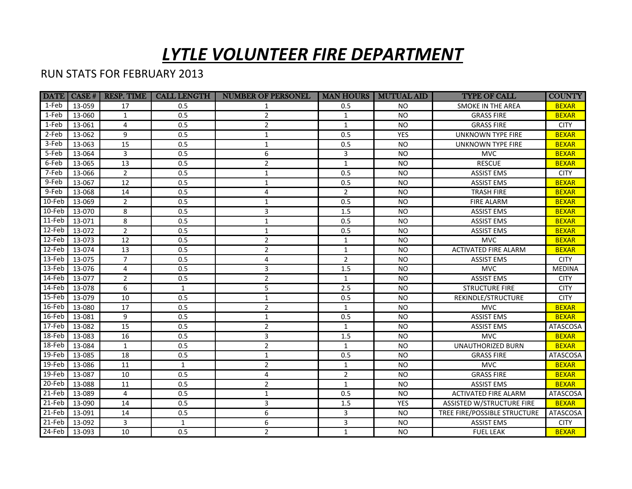## *LYTLE VOLUNTEER FIRE DEPARTMENT*

## RUN STATS FOR FEBRUARY 2013

|           | $ \text{DATE}  \text{ CASE}$ # | <b>RESP. TIME</b> | CALL LENGTH  | <b>NUMBER OF PERSONEL</b> |                | <b>MAN HOURS   MUTUAL AID</b> | <b>TYPE OF CALL</b>          | <b>COUNTY</b>   |
|-----------|--------------------------------|-------------------|--------------|---------------------------|----------------|-------------------------------|------------------------------|-----------------|
| 1-Feb     | 13-059                         | 17                | 0.5          |                           | 0.5            | <b>NO</b>                     | <b>SMOKE IN THE AREA</b>     | <b>BEXAR</b>    |
| 1-Feb     | 13-060                         | $\mathbf{1}$      | 0.5          | $\overline{2}$            | 1              | <b>NO</b>                     | <b>GRASS FIRE</b>            | <b>BEXAR</b>    |
| 1-Feb     | 13-061                         | 4                 | 0.5          | $\overline{2}$            | $\mathbf{1}$   | <b>NO</b>                     | <b>GRASS FIRE</b>            | <b>CITY</b>     |
| 2-Feb     | 13-062                         | 9                 | 0.5          | 1                         | 0.5            | <b>YES</b>                    | <b>UNKNOWN TYPE FIRE</b>     | <b>BEXAR</b>    |
| 3-Feb     | 13-063                         | 15                | 0.5          | $\mathbf{1}$              | 0.5            | <b>NO</b>                     | UNKNOWN TYPE FIRE            | <b>BEXAR</b>    |
| 5-Feb     | 13-064                         | 3                 | 0.5          | 6                         | 3              | <b>NO</b>                     | <b>MVC</b>                   | <b>BEXAR</b>    |
| 6-Feb     | 13-065                         | 13                | 0.5          | $\overline{2}$            | $\mathbf{1}$   | <b>NO</b>                     | <b>RESCUE</b>                | <b>BEXAR</b>    |
| 7-Feb     | 13-066                         | $\overline{2}$    | 0.5          | $\mathbf{1}$              | 0.5            | <b>NO</b>                     | <b>ASSIST EMS</b>            | <b>CITY</b>     |
| 9-Feb     | 13-067                         | $\overline{12}$   | 0.5          | $\mathbf{1}$              | 0.5            | <b>NO</b>                     | <b>ASSIST EMS</b>            | <b>BEXAR</b>    |
| 9-Feb     | 13-068                         | 14                | 0.5          | 4                         | $\overline{2}$ | <b>NO</b>                     | <b>TRASH FIRE</b>            | <b>BEXAR</b>    |
| 10-Feb    | 13-069                         | $\overline{2}$    | 0.5          | 1                         | 0.5            | <b>NO</b>                     | <b>FIRE ALARM</b>            | <b>BEXAR</b>    |
| 10-Feb    | 13-070                         | 8                 | 0.5          | $\overline{3}$            | 1.5            | <b>NO</b>                     | <b>ASSIST EMS</b>            | <b>BEXAR</b>    |
| 11-Feb    | 13-071                         | 8                 | 0.5          | $\mathbf{1}$              | 0.5            | <b>NO</b>                     | <b>ASSIST EMS</b>            | <b>BEXAR</b>    |
| 12-Feb    | 13-072                         | $\overline{2}$    | 0.5          | $\mathbf{1}$              | 0.5            | <b>NO</b>                     | <b>ASSIST EMS</b>            | <b>BEXAR</b>    |
| 12-Feb    | 13-073                         | 12                | 0.5          | $\overline{2}$            | $\mathbf{1}$   | <b>NO</b>                     | <b>MVC</b>                   | <b>BEXAR</b>    |
| 12-Feb    | 13-074                         | 13                | 0.5          | $\overline{2}$            | $\mathbf{1}$   | <b>NO</b>                     | <b>ACTIVATED FIRE ALARM</b>  | <b>BEXAR</b>    |
| 13-Feb    | 13-075                         | $\overline{7}$    | 0.5          | 4                         | $\overline{2}$ | <b>NO</b>                     | <b>ASSIST EMS</b>            | <b>CITY</b>     |
| 13-Feb    | 13-076                         | 4                 | 0.5          | $\overline{3}$            | 1.5            | <b>NO</b>                     | <b>MVC</b>                   | <b>MEDINA</b>   |
| 14-Feb    | 13-077                         | $\overline{2}$    | 0.5          | $\overline{2}$            | $\mathbf{1}$   | <b>NO</b>                     | <b>ASSIST EMS</b>            | <b>CITY</b>     |
| 14-Feb    | 13-078                         | 6                 | $\mathbf{1}$ | 5                         | 2.5            | <b>NO</b>                     | <b>STRUCTURE FIRE</b>        | <b>CITY</b>     |
| 15-Feb    | 13-079                         | 10                | 0.5          | $\mathbf{1}$              | 0.5            | <b>NO</b>                     | REKINDLE/STRUCTURE           | <b>CITY</b>     |
| 16-Feb    | 13-080                         | 17                | 0.5          | $\overline{2}$            | $\mathbf{1}$   | <b>NO</b>                     | <b>MVC</b>                   | <b>BEXAR</b>    |
| 16-Feb    | 13-081                         | 9                 | 0.5          | $\mathbf{1}$              | 0.5            | <b>NO</b>                     | <b>ASSIST EMS</b>            | <b>BEXAR</b>    |
| 17-Feb    | 13-082                         | 15                | 0.5          | $\overline{2}$            | $\mathbf{1}$   | <b>NO</b>                     | <b>ASSIST EMS</b>            | ATASCOSA        |
| 18-Feb    | 13-083                         | 16                | 0.5          | 3                         | 1.5            | <b>NO</b>                     | <b>MVC</b>                   | <b>BEXAR</b>    |
| 18-Feb    | 13-084                         | $\mathbf{1}$      | 0.5          | $\overline{2}$            | $\mathbf{1}$   | <b>NO</b>                     | <b>UNAUTHORIZED BURN</b>     | <b>BEXAR</b>    |
| 19-Feb    | 13-085                         | 18                | 0.5          | $\mathbf{1}$              | 0.5            | <b>NO</b>                     | <b>GRASS FIRE</b>            | ATASCOSA        |
| 19-Feb    | 13-086                         | 11                | $\mathbf{1}$ | $\overline{2}$            | $\mathbf{1}$   | <b>NO</b>                     | <b>MVC</b>                   | <b>BEXAR</b>    |
| 19-Feb    | 13-087                         | 10                | 0.5          | 4                         | $\overline{2}$ | <b>NO</b>                     | <b>GRASS FIRE</b>            | <b>BEXAR</b>    |
| 20-Feb    | 13-088                         | 11                | 0.5          | $\overline{2}$            | $\mathbf{1}$   | <b>NO</b>                     | <b>ASSIST EMS</b>            | <b>BEXAR</b>    |
| 21-Feb    | 13-089                         | 4                 | 0.5          | $\mathbf{1}$              | 0.5            | <b>NO</b>                     | <b>ACTIVATED FIRE ALARM</b>  | ATASCOSA        |
| 21-Feb    | 13-090                         | 14                | 0.5          | 3                         | 1.5            | YES                           | ASSISTED W/STRUCTURE FIRE    | <b>BEXAR</b>    |
| 21-Feb    | 13-091                         | 14                | 0.5          | 6                         | 3              | <b>NO</b>                     | TREE FIRE/POSSIBLE STRUCTURE | <b>ATASCOSA</b> |
| 21-Feb    | 13-092                         | 3                 | $\mathbf{1}$ | 6                         | 3              | <b>NO</b>                     | <b>ASSIST EMS</b>            | <b>CITY</b>     |
| $24$ -Feb | 13-093                         | 10                | 0.5          | $\overline{2}$            | $\mathbf{1}$   | <b>NO</b>                     | <b>FUEL LEAK</b>             | <b>BEXAR</b>    |